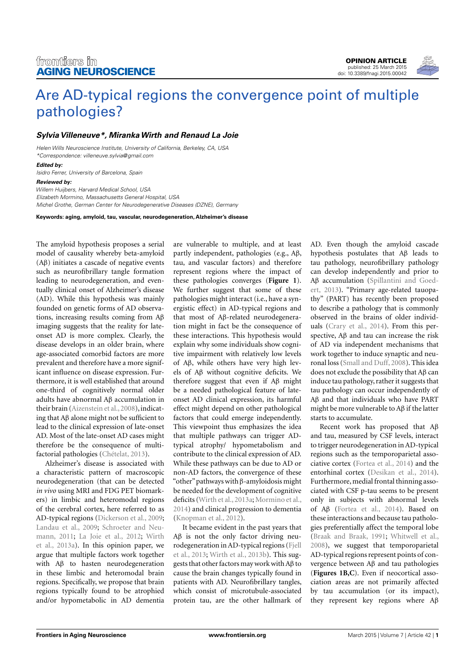[OPINION ARTICLE](http://www.frontiersin.org/Aging_Neuroscience/editorialboard) [published: 25 March 2015](http://www.frontiersin.org/Aging_Neuroscience/editorialboard) [doi: 10.3389/fnagi.2015.00042](http://www.frontiersin.org/Aging_Neuroscience/editorialboard)

# [Are AD-typical regions the convergence point of multiple](http://www.frontiersin.org/Journal/10.3389/fnagi.2015.00042/abstract) [pathologies?](http://www.frontiersin.org/Journal/10.3389/fnagi.2015.00042/abstract)

# **[Sylvia Villeneuve\\*](http://loop.frontiersin.org/people/119982/overview), [MirankaWirth](http://loop.frontiersin.org/people/222655/overview) and [Renaud La Joie](http://loop.frontiersin.org/people/200247/overview)**

Helen Wills Neuroscience Institute, University of California, Berkeley, CA, USA \*Correspondence: [villeneuve.sylvia@gmail.com](mailto:villeneuve.sylvia@gmail.com)

#### **Edited by:**

Isidro Ferrer, University of Barcelona, Spain

#### **Reviewed by:**

Willem Huijbers, Harvard Medical School, USA Elizabeth Mormino, Massachusetts General Hospital, USA Michel Grothe, German Center for Neurodegenerative Diseases (DZNE), Germany

**Keywords: aging, amyloid, tau, vascular, neurodegeneration, Alzheimer's disease**

The amyloid hypothesis proposes a serial model of causality whereby beta-amyloid (Aβ) initiates a cascade of negative events such as neurofibrillary tangle formation leading to neurodegeneration, and eventually clinical onset of Alzheimer's disease (AD). While this hypothesis was mainly founded on genetic forms of AD observations, increasing results coming from Aβ imaging suggests that the reality for lateonset AD is more complex. Clearly, the disease develops in an older brain, where age-associated comorbid factors are more prevalent and therefore have a more significant influence on disease expression. Furthermore, it is well established that around one-third of cognitively normal older adults have abnormal Aβ accumulation in their brain [\(Aizenstein et al., 2008\)](#page-2-0), indicating that Aβ alone might not be sufficient to lead to the clinical expression of late-onset AD. Most of the late-onset AD cases might therefore be the consequence of multifactorial pathologies [\(Chételat, 2013\)](#page-2-1).

Alzheimer's disease is associated with a characteristic pattern of macroscopic neurodegeneration (that can be detected *in vivo* using MRI and FDG PET biomarkers) in limbic and heteromodal regions of the cerebral cortex, here referred to as AD-typical regions [\(Dickerson et al., 2009;](#page-2-2) [Landau et al., 2009;](#page-2-3) [Schroeter and Neu](#page-2-4)[mann, 2011;](#page-2-4) [La Joie et al., 2012;](#page-2-5) [Wirth](#page-2-6) [et al., 2013a\)](#page-2-6). In this opinion paper, we argue that multiple factors work together with Aβ to hasten neurodegeneration in these limbic and heteromodal brain regions. Specifically, we propose that brain regions typically found to be atrophied and/or hypometabolic in AD dementia

are vulnerable to multiple, and at least partly independent, pathologies (e.g., Aβ, tau, and vascular factors) and therefore represent regions where the impact of these pathologies converges (**[Figure 1](#page-1-0)**). We further suggest that some of these pathologies might interact (i.e., have a synergistic effect) in AD-typical regions and that most of Aβ-related neurodegeneration might in fact be the consequence of these interactions. This hypothesis would explain why some individuals show cognitive impairment with relatively low levels of Aβ, while others have very high levels of Aβ without cognitive deficits. We therefore suggest that even if Aβ might be a needed pathological feature of lateonset AD clinical expression, its harmful effect might depend on other pathological factors that could emerge independently. This viewpoint thus emphasizes the idea that multiple pathways can trigger ADtypical atrophy/ hypometabolism and contribute to the clinical expression of AD. While these pathways can be due to AD or non-AD factors, the convergence of these "other"pathways with β-amyloidosis might be needed for the development of cognitive deficits [\(Wirth et al., 2013a;](#page-2-6) [Mormino et al.,](#page-2-7) [2014\)](#page-2-7) and clinical progression to dementia [\(Knopman et al., 2012\)](#page-2-8).

It became evident in the past years that Aβ is not the only factor driving neurodegeneration in AD-typical regions [\(Fjell](#page-2-9) [et al., 2013;](#page-2-9) [Wirth et al., 2013b\)](#page-2-10). This suggests that other factors may work with Aβ to cause the brain changes typically found in patients with AD. Neurofibrillary tangles, which consist of microtubule-associated protein tau, are the other hallmark of AD. Even though the amyloid cascade hypothesis postulates that Aβ leads to tau pathology, neurofibrillary pathology can develop independently and prior to Aβ accumulation [\(Spillantini and Goed](#page-2-11)[ert, 2013\)](#page-2-11). "Primary age-related tauopathy" (PART) has recently been proposed to describe a pathology that is commonly observed in the brains of older individuals [\(Crary et al., 2014\)](#page-2-12). From this perspective, Aβ and tau can increase the risk of AD via independent mechanisms that work together to induce synaptic and neuronal loss [\(Small and Duff, 2008\)](#page-2-13). This idea does not exclude the possibility that Aβ can induce tau pathology, rather it suggests that tau pathology can occur independently of Aβ and that individuals who have PART might be more vulnerable to Aβ if the latter starts to accumulate.

Recent work has proposed that Aβ and tau, measured by CSF levels, interact to trigger neurodegeneration in AD-typical regions such as the temporoparietal associative cortex [\(Fortea et al., 2014\)](#page-2-14) and the entorhinal cortex [\(Desikan et al., 2014\)](#page-2-15). Furthermore, medial frontal thinning associated with CSF p-tau seems to be present only in subjects with abnormal levels of Aβ [\(Fortea et al., 2014\)](#page-2-14). Based on these interactions and because tau pathologies preferentially affect the temporal lobe [\(Braak and Braak, 1991;](#page-2-16) [Whitwell et al.,](#page-2-17) [2008\)](#page-2-17), we suggest that temporoparietal AD-typical regions represent points of convergence between Aβ and tau pathologies (**[Figures 1B,C](#page-1-0)**). Even if neocortical association areas are not primarily affected by tau accumulation (or its impact), they represent key regions where Aβ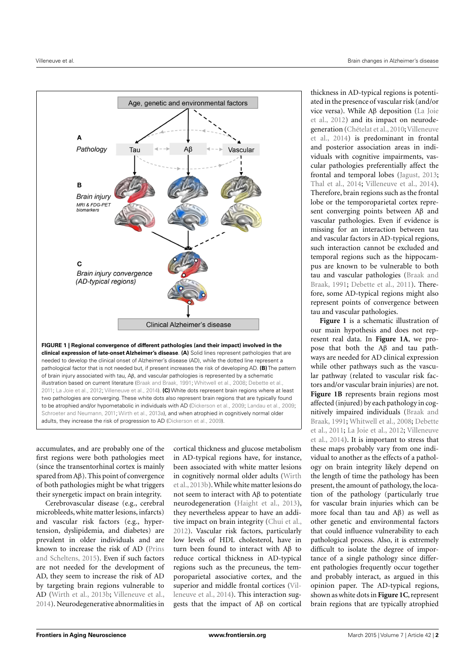

<span id="page-1-0"></span>**FIGURE 1 | Regional convergence of different pathologies (and their impact) involved in the clinical expression of late-onset Alzheimer's disease**. **(A)** Solid lines represent pathologies that are needed to develop the clinical onset of Alzheimer's disease (AD), while the dotted line represent a pathological factor that is not needed but, if present increases the risk of developing AD. **(B)** The pattern of brain injury associated with tau, Aβ, and vascular pathologies is represented by a schematic illustration based on current literature [\(Braak and Braak,](#page-2-16) [1991;](#page-2-16) [Whitwell et al.,](#page-2-17) [2008;](#page-2-17) [Debette et al.,](#page-2-18) [2011;](#page-2-18) [La Joie et al.,](#page-2-5) [2012;](#page-2-5) [Villeneuve et al.,](#page-2-19) [2014\)](#page-2-19). **(C)** White dots represent brain regions where at least two pathologies are converging. These white dots also represent brain regions that are typically found to be atrophied and/or hypometabolic in individuals with AD [\(Dickerson et al.,](#page-2-2) [2009;](#page-2-2) [Landau et al.,](#page-2-3) [2009;](#page-2-3) [Schroeter and Neumann,](#page-2-4) [2011;](#page-2-4) [Wirth et al.,](#page-2-6) [2013a\)](#page-2-6), and when atrophied in cognitively normal older adults, they increase the risk of progression to AD [\(Dickerson et al.,](#page-2-2) [2009\)](#page-2-2).

accumulates, and are probably one of the first regions were both pathologies meet (since the transentorhinal cortex is mainly spared from Aβ). This point of convergence of both pathologies might be what triggers their synergetic impact on brain integrity.

Cerebrovascular disease (e.g., cerebral microbleeds, white matter lesions, infarcts) and vascular risk factors (e.g., hypertension, dyslipidemia, and diabetes) are prevalent in older individuals and are known to increase the risk of AD [\(Prins](#page-2-20) [and Scheltens,](#page-2-20) [2015\)](#page-2-20). Even if such factors are not needed for the development of AD, they seem to increase the risk of AD by targeting brain regions vulnerable to AD [\(Wirth et al.,](#page-2-10) [2013b;](#page-2-10) [Villeneuve et al.,](#page-2-19) [2014\)](#page-2-19). Neurodegenerative abnormalities in

cortical thickness and glucose metabolism in AD-typical regions have, for instance, been associated with white matter lesions in cognitively normal older adults [\(Wirth](#page-2-10) [et al.,](#page-2-10) [2013b\)](#page-2-10). While white matter lesions do not seem to interact with Aβ to potentiate neurodegeneration [\(Haight et al.,](#page-2-21) [2013\)](#page-2-21), they nevertheless appear to have an additive impact on brain integrity [\(Chui et al.,](#page-2-22) [2012\)](#page-2-22). Vascular risk factors, particularly low levels of HDL cholesterol, have in turn been found to interact with Aβ to reduce cortical thickness in AD-typical regions such as the precuneus, the temporoparietal associative cortex, and the superior and middle frontal cortices [\(Vil](#page-2-19)[leneuve et al.,](#page-2-19) [2014\)](#page-2-19). This interaction suggests that the impact of Aβ on cortical

thickness in AD-typical regions is potentiated in the presence of vascular risk (and/or vice versa). While Aβ deposition [\(La Joie](#page-2-5) [et al.,](#page-2-5) [2012\)](#page-2-5) and its impact on neurode-generation [\(Chételat et al.,](#page-2-23) [2010;](#page-2-23) [Villeneuve](#page-2-19) [et al.,](#page-2-19) [2014\)](#page-2-19) is predominant in frontal and posterior association areas in individuals with cognitive impairments, vascular pathologies preferentially affect the frontal and temporal lobes [\(Jagust,](#page-2-24) [2013;](#page-2-24) [Thal et al.,](#page-2-25) [2014;](#page-2-25) [Villeneuve et al.,](#page-2-19) [2014\)](#page-2-19). Therefore, brain regions such as the frontal lobe or the temporoparietal cortex represent converging points between Aβ and vascular pathologies. Even if evidence is missing for an interaction between tau and vascular factors in AD-typical regions, such interaction cannot be excluded and temporal regions such as the hippocampus are known to be vulnerable to both tau and vascular pathologies [\(Braak and](#page-2-16) [Braak,](#page-2-16) [1991;](#page-2-16) [Debette et al.,](#page-2-18) [2011\)](#page-2-18). Therefore, some AD-typical regions might also represent points of convergence between tau and vascular pathologies.

**[Figure 1](#page-1-0)** is a schematic illustration of our main hypothesis and does not represent real data. In **[Figure 1A](#page-1-0)**, we propose that both the Aβ and tau pathways are needed for AD clinical expression while other pathways such as the vascular pathway (related to vascular risk factors and/or vascular brain injuries) are not. **[Figure 1B](#page-1-0)** represents brain regions most affected (injured) by each pathology in cognitively impaired individuals [\(Braak and](#page-2-16) [Braak,](#page-2-16) [1991;](#page-2-16) [Whitwell et al.,](#page-2-17) [2008;](#page-2-17) [Debette](#page-2-18) [et al.,](#page-2-18) [2011;](#page-2-18) [La Joie et al.,](#page-2-5) [2012;](#page-2-5) [Villeneuve](#page-2-19) [et al.,](#page-2-19) [2014\)](#page-2-19). It is important to stress that these maps probably vary from one individual to another as the effects of a pathology on brain integrity likely depend on the length of time the pathology has been present, the amount of pathology, the location of the pathology (particularly true for vascular brain injuries which can be more focal than tau and Aβ) as well as other genetic and environmental factors that could influence vulnerability to each pathological process. Also, it is extremely difficult to isolate the degree of importance of a single pathology since different pathologies frequently occur together and probably interact, as argued in this opinion paper. The AD-typical regions, shown as white dots in **[Figure 1C](#page-1-0)**, represent brain regions that are typically atrophied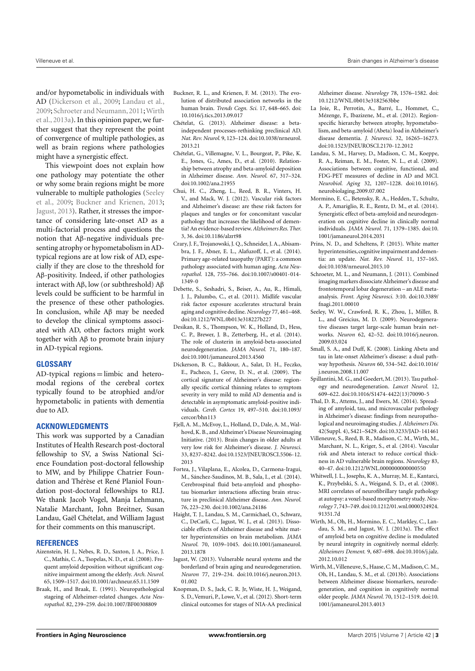and/or hypometabolic in individuals with AD [\(Dickerson et al.,](#page-2-2) [2009;](#page-2-2) [Landau et al.,](#page-2-3) [2009;](#page-2-3) [Schroeter and Neumann,2011;](#page-2-4)[Wirth](#page-2-6) [et al.,](#page-2-6) [2013a\)](#page-2-6). In this opinion paper, we further suggest that they represent the point of convergence of multiple pathologies, as well as brain regions where pathologies might have a synergistic effect.

This viewpoint does not explain how one pathology may potentiate the other or why some brain regions might be more vulnerable to multiple pathologies [\(Seeley](#page-2-26) [et al.,](#page-2-26) [2009;](#page-2-26) [Buckner and Krienen,](#page-2-27) [2013;](#page-2-27) [Jagust,](#page-2-24) [2013\)](#page-2-24). Rather, it stresses the importance of considering late-onset AD as a multi-factorial process and questions the notion that Aβ-negative individuals presenting atrophy or hypometabolism in ADtypical regions are at low risk of AD, especially if they are close to the threshold for Aβ-positivity. Indeed, if other pathologies interact with Aβ, low (or subthreshold) Aβ levels could be sufficient to be harmful in the presence of these other pathologies. In conclusion, while Aβ may be needed to develop the clinical symptoms associated with AD, other factors might work together with Aβ to promote brain injury in AD-typical regions.

## **GLOSSARY**

AD-typical regions = limbic and heteromodal regions of the cerebral cortex typically found to be atrophied and/or hypometabolic in patients with dementia due to AD.

## **ACKNOWLEDGMENTS**

This work was supported by a Canadian Institutes of Health Research post-doctoral fellowship to SV, a Swiss National Science Foundation post-doctoral fellowship to MW, and by Philippe Chatrier Foundation and Thérèse et René Planiol Foundation post-doctoral fellowships to RLJ. We thank Jacob Vogel, Manja Lehmann, Natalie Marchant, John Breitner, Susan Landau, Gaël Chételat, and William Jagust for their comments on this manuscript.

#### **REFERENCES**

- <span id="page-2-0"></span>Aizenstein, H. J., Nebes, R. D., Saxton, J. A., Price, J. C., Mathis, C. A., Tsopelas, N. D., et al. (2008). Frequent amyloid deposition without significant cognitive impairment among the elderly. *Arch. Neurol.* 65, 1509–1517. doi[:10.1001/archneur.65.11.1509](http://dx.doi.org/10.1001/archneur.65.11.1509)
- <span id="page-2-16"></span>Braak, H., and Braak, E. (1991). Neuropathological stageing of Alzheimer-related changes. *Acta Neuropathol.* 82, 239–259. doi[:10.1007/BF00308809](http://dx.doi.org/10.1007/BF00308809)
- <span id="page-2-27"></span>Buckner, R. L., and Krienen, F. M. (2013). The evolution of distributed association networks in the human brain. *Trends Cogn. Sci.* 17, 648–665. doi: [10.1016/j.tics.2013.09.017](http://dx.doi.org/10.1016/j.tics.2013.09.017)
- <span id="page-2-1"></span>Chételat, G. (2013). Alzheimer disease: a betaindependent processes-rethinking preclinical AD. *Nat. Rev. Neurol.* 9, 123–124. doi[:10.1038/nrneurol.](http://dx.doi.org/10.1038/nrneurol.2013.21) [2013.21](http://dx.doi.org/10.1038/nrneurol.2013.21)
- <span id="page-2-23"></span>Chételat, G., Villemagne, V. L., Bourgeat, P., Pike, K. E., Jones, G., Ames, D., et al. (2010). Relationship between atrophy and beta-amyloid deposition in Alzheimer disease. *Ann. Neurol.* 67, 317–324. doi[:10.1002/ana.21955](http://dx.doi.org/10.1002/ana.21955)
- <span id="page-2-22"></span>Chui, H. C., Zheng, L., Reed, B. R., Vinters, H. V., and Mack, W. J. (2012). Vascular risk factors and Alzheimer's disease: are these risk factors for plaques and tangles or for concomitant vascular pathology that increases the likelihood of dementia? An evidence-based review.*Alzheimers Res. Ther.* 3, 36. doi[:10.1186/alzrt98](http://dx.doi.org/10.1186/alzrt98)
- <span id="page-2-12"></span>Crary, J. F., Trojanowski, J. Q., Schneider, J. A., Abisambra, J. F., Abner, E. L., Alafuzoff, I., et al. (2014). Primary age-related tauopathy (PART): a common pathology associated with human aging. *Acta Neuropathol.* 128, 755–766. doi[:10.1007/s00401-014-](http://dx.doi.org/10.1007/s00401-014-1349-0) [1349-0](http://dx.doi.org/10.1007/s00401-014-1349-0)
- <span id="page-2-18"></span>Debette, S., Seshadri, S., Beiser, A., Au, R., Himali, J. J., Palumbo, C., et al. (2011). Midlife vascular risk factor exposure accelerates structural brain aging and cognitive decline. *Neurology* 77, 461–468. doi[:10.1212/WNL.0b013e318227b227](http://dx.doi.org/10.1212/WNL.0b013e318227b227)
- <span id="page-2-15"></span>Desikan, R. S., Thompson, W. K., Holland, D., Hess, C. P., Brewer, J. B., Zetterberg, H., et al. (2014). The role of clusterin in amyloid-beta-associated neurodegeneration. *JAMA Neurol.* 71, 180–187. doi[:10.1001/jamaneurol.2013.4560](http://dx.doi.org/10.1001/jamaneurol.2013.4560)
- <span id="page-2-2"></span>Dickerson, B. C., Bakkour, A., Salat, D. H., Feczko, E., Pacheco, J., Greve, D. N., et al. (2009). The cortical signature of Alzheimer's disease: regionally specific cortical thinning relates to symptom severity in very mild to mild AD dementia and is detectable in asymptomatic amyloid-positive individuals. *Cereb. Cortex* 19, 497–510. doi[:10.1093/](http://dx.doi.org/10.1093/cercor/bhn113) [cercor/bhn113](http://dx.doi.org/10.1093/cercor/bhn113)
- <span id="page-2-9"></span>Fjell, A. M., McEvoy, L., Holland, D., Dale, A. M., Walhovd, K. B., and Alzheimer's Disease Neuroimaging Initiative. (2013). Brain changes in older adults at very low risk for Alzheimer's disease. *J. Neurosci.* 33, 8237–8242. doi[:10.1523/JNEUROSCI.5506-12.](http://dx.doi.org/10.1523/JNEUROSCI.5506-12.2013) [2013](http://dx.doi.org/10.1523/JNEUROSCI.5506-12.2013)
- <span id="page-2-14"></span>Fortea, J., Vilaplana, E., Alcolea, D., Carmona-Iragui, M., Sánchez-Saudinos, M. B., Sala, I., et al. (2014). Cerebrospinal fluid beta-amyloid and phosphotau biomarker interactions affecting brain structure in preclinical Alzheimer disease. *Ann. Neurol.* 76, 223–230. doi[:10.1002/ana.24186](http://dx.doi.org/10.1002/ana.24186)
- <span id="page-2-21"></span>Haight, T. J., Landau, S. M., Carmichael, O., Schwarz, C., DeCarli, C., Jagust, W. J., et al. (2013). Dissociable effects of Alzheimer disease and white matter hyperintensities on brain metabolism. *JAMA Neurol.* 70, 1039–1045. doi[:10.1001/jamaneurol.](http://dx.doi.org/10.1001/jamaneurol.2013.1878) [2013.1878](http://dx.doi.org/10.1001/jamaneurol.2013.1878)
- <span id="page-2-24"></span>Jagust, W. (2013). Vulnerable neural systems and the borderland of brain aging and neurodegeneration. *Neuron* 77, 219–234. doi[:10.1016/j.neuron.2013.](http://dx.doi.org/10.1016/j.neuron.2013.01.002) [01.002](http://dx.doi.org/10.1016/j.neuron.2013.01.002)
- <span id="page-2-8"></span>Knopman, D. S., Jack, C. R. Jr, Wiste, H. J., Weigand, S. D., Vemuri, P., Lowe, V., et al. (2012). Short-term clinical outcomes for stages of NIA-AA preclinical

Alzheimer disease. *Neurology* 78, 1576–1582. doi: [10.1212/WNL.0b013e3182563bbe](http://dx.doi.org/10.1212/WNL.0b013e3182563bbe)

- <span id="page-2-5"></span>La Joie, R., Perrotin, A., Barré, L., Hommet, C., Mézenge, F., Ibazizene, M., et al. (2012). Regionspecific hierarchy between atrophy, hypometabolism, and beta-amyloid (Abeta) load in Alzheimer's disease dementia. *J. Neurosci.* 32, 16265–16273. doi[:10.1523/JNEUROSCI.2170-12.2012](http://dx.doi.org/10.1523/JNEUROSCI.2170-12.2012)
- <span id="page-2-3"></span>Landau, S. M., Harvey, D., Madison, C. M., Koeppe, R. A., Reiman, E. M., Foster, N. L., et al. (2009). Associations between cognitive, functional, and FDG-PET measures of decline in AD and MCI. *Neurobiol. Aging* 32, 1207–1228. doi[:10.1016/j.](http://dx.doi.org/10.1016/j.neurobiolaging.2009.07.002) [neurobiolaging.2009.07.002](http://dx.doi.org/10.1016/j.neurobiolaging.2009.07.002)
- <span id="page-2-7"></span>Mormino, E. C., Betensky, R. A., Hedden, T., Schultz, A. P., Amariglio, R. E., Rentz, D. M., et al. (2014). Synergistic effect of beta-amyloid and neurodegeneration on cognitive decline in clinically normal individuals. *JAMA Neurol.* 71, 1379–1385. doi[:10.](http://dx.doi.org/10.1001/jamaneurol.2014.2031) [1001/jamaneurol.2014.2031](http://dx.doi.org/10.1001/jamaneurol.2014.2031)
- <span id="page-2-20"></span>Prins, N. D., and Scheltens, P. (2015). White matter hyperintensities, cognitive impairment and dementia: an update. *Nat. Rev. Neurol.* 11, 157–165. doi[:10.1038/nrneurol.2015.10](http://dx.doi.org/10.1038/nrneurol.2015.10)
- <span id="page-2-4"></span>Schroeter, M. L., and Neumann, J. (2011). Combined imaging markers dissociate Alzheimer's disease and frontotemporal lobar degeneration – an ALE metaanalysis. *Front. Aging Neurosci.* 3:10. doi[:10.3389/](http://dx.doi.org/10.3389/fnagi.2011.00010) [fnagi.2011.00010](http://dx.doi.org/10.3389/fnagi.2011.00010)
- <span id="page-2-26"></span>Seeley, W. W., Crawford, R. K., Zhou, J., Miller, B. L., and Greicius, M. D. (2009). Neurodegenerative diseases target large-scale human brain networks. *Neuron* 62, 42–52. doi[:10.1016/j.neuron.](http://dx.doi.org/10.1016/j.neuron.2009.03.024) [2009.03.024](http://dx.doi.org/10.1016/j.neuron.2009.03.024)
- <span id="page-2-13"></span>Small, S. A., and Duff, K. (2008). Linking Abeta and tau in late-onset Alzheimer's disease: a dual pathway hypothesis. *Neuron* 60, 534–542. doi[:10.1016/](http://dx.doi.org/10.1016/j.neuron.2008.11.007) [j.neuron.2008.11.007](http://dx.doi.org/10.1016/j.neuron.2008.11.007)
- <span id="page-2-11"></span>Spillantini, M. G., and Goedert, M. (2013). Tau pathology and neurodegeneration. *Lancet Neurol.* 12, 609–622. doi[:10.1016/S1474-4422\(13\)70090-5](http://dx.doi.org/10.1016/S1474-4422(13)70090-5)
- <span id="page-2-25"></span>Thal, D. R., Attems, J., and Ewers, M. (2014). Spreading of amyloid, tau, and microvascular pathology in Alzheimer's disease: findings from neuropathological and neuroimaging studies. *J. Alzheimers Dis.* 42(Suppl. 4), S421–S429. doi[:10.3233/JAD-141461](http://dx.doi.org/10.3233/JAD-141461)
- <span id="page-2-19"></span>Villeneuve, S., Reed, B. R., Madison, C. M., Wirth, M., Marchant, N. L., Kriger, S., et al. (2014). Vascular risk and Abeta interact to reduce cortical thickness in AD vulnerable brain regions. *Neurology* 83, 40–47. doi[:10.1212/WNL.0000000000000550](http://dx.doi.org/10.1212/WNL.0000000000000550)
- <span id="page-2-17"></span>Whitwell, J. L., Josephs, K. A., Murray, M. E., Kantarci, K., Przybelski, S. A., Weigand, S. D., et al. (2008). MRI correlates of neurofibrillary tangle pathology at autopsy: a voxel-based morphometry study. *Neurology* 7, 743–749. doi[:10.1212/01.wnl.0000324924.](http://dx.doi.org/10.1212/01.wnl.0000324924.91351.7d) [91351.7d](http://dx.doi.org/10.1212/01.wnl.0000324924.91351.7d)
- <span id="page-2-6"></span>Wirth, M., Oh, H., Mormino, E. C., Markley, C., Landau, S. M., and Jagust, W. J. (2013a). The effect of amyloid beta on cognitive decline is modulated by neural integrity in cognitively normal elderly. *Alzheimers Dement.* 9, 687–698. doi[:10.1016/j.jalz.](http://dx.doi.org/10.1016/j.jalz.2012.10.012) [2012.10.012](http://dx.doi.org/10.1016/j.jalz.2012.10.012)
- <span id="page-2-10"></span>Wirth, M.,Villeneuve, S., Haase, C. M., Madison, C. M., Oh, H., Landau, S. M., et al. (2013b). Associations between Alzheimer disease biomarkers, neurodegeneration, and cognition in cognitively normal older people. *JAMA Neurol.* 70, 1512–1519. doi[:10.](http://dx.doi.org/10.1001/jamaneurol.2013.4013) [1001/jamaneurol.2013.4013](http://dx.doi.org/10.1001/jamaneurol.2013.4013)